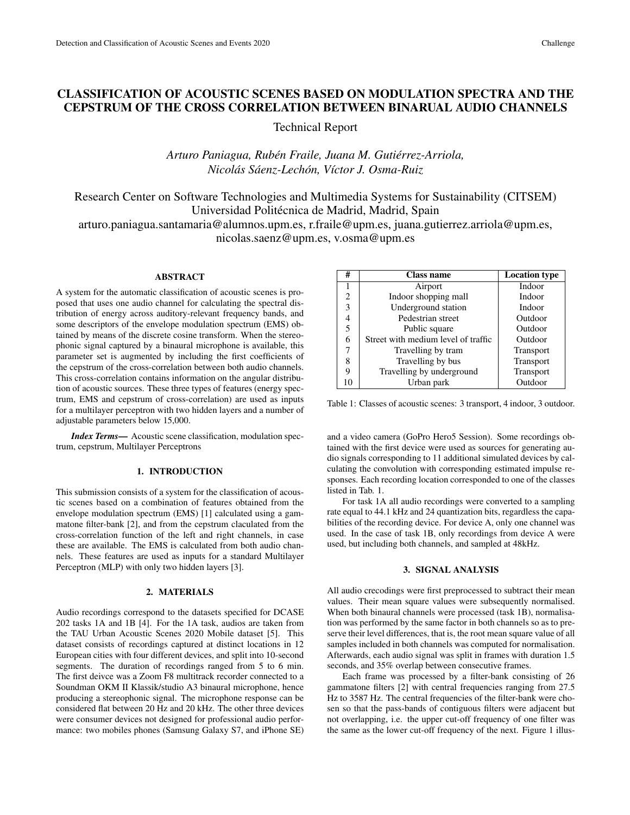# CLASSIFICATION OF ACOUSTIC SCENES BASED ON MODULATION SPECTRA AND THE CEPSTRUM OF THE CROSS CORRELATION BETWEEN BINARUAL AUDIO CHANNELS

Technical Report

*Arturo Paniagua, Ruben Fraile, Juana M. Guti ´ errez-Arriola, ´ Nicolas S ´ aenz-Lech ´ on, V ´ ´ıctor J. Osma-Ruiz*

Research Center on Software Technologies and Multimedia Systems for Sustainability (CITSEM) Universidad Politécnica de Madrid, Madrid, Spain

arturo.paniagua.santamaria@alumnos.upm.es, r.fraile@upm.es, juana.gutierrez.arriola@upm.es, nicolas.saenz@upm.es, v.osma@upm.es

# ABSTRACT

A system for the automatic classification of acoustic scenes is proposed that uses one audio channel for calculating the spectral distribution of energy across auditory-relevant frequency bands, and some descriptors of the envelope modulation spectrum (EMS) obtained by means of the discrete cosine transform. When the stereophonic signal captured by a binaural microphone is available, this parameter set is augmented by including the first coefficients of the cepstrum of the cross-correlation between both audio channels. This cross-correlation contains information on the angular distribution of acoustic sources. These three types of features (energy spectrum, EMS and cepstrum of cross-correlation) are used as inputs for a multilayer perceptron with two hidden layers and a number of adjustable parameters below 15,000.

*Index Terms*— Acoustic scene classification, modulation spectrum, cepstrum, Multilayer Perceptrons

### 1. INTRODUCTION

This submission consists of a system for the classification of acoustic scenes based on a combination of features obtained from the envelope modulation spectrum (EMS) [1] calculated using a gammatone filter-bank [2], and from the cepstrum claculated from the cross-correlation function of the left and right channels, in case these are available. The EMS is calculated from both audio channels. These features are used as inputs for a standard Multilayer Perceptron (MLP) with only two hidden layers [3].

#### 2. MATERIALS

Audio recordings correspond to the datasets specified for DCASE 202 tasks 1A and 1B [4]. For the 1A task, audios are taken from the TAU Urban Acoustic Scenes 2020 Mobile dataset [5]. This dataset consists of recordings captured at distinct locations in 12 European cities with four different devices, and split into 10-second segments. The duration of recordings ranged from 5 to 6 min. The first deivce was a Zoom F8 multitrack recorder connected to a Soundman OKM II Klassik/studio A3 binaural microphone, hence producing a stereophonic signal. The microphone response can be considered flat between 20 Hz and 20 kHz. The other three devices were consumer devices not designed for professional audio performance: two mobiles phones (Samsung Galaxy S7, and iPhone SE)

| #  | Class name                          | <b>Location type</b> |
|----|-------------------------------------|----------------------|
|    | Airport                             | Indoor               |
| 2  | Indoor shopping mall                | Indoor               |
| 3  | Underground station                 | Indoor               |
|    | Pedestrian street                   | Outdoor              |
| 5  | Public square                       | Outdoor              |
| 6  | Street with medium level of traffic | Outdoor              |
|    | Travelling by tram                  | Transport            |
| 8  | Travelling by bus                   | Transport            |
| 9  | Travelling by underground           | Transport            |
| 10 | Urban park                          | Outdoor              |

Table 1: Classes of acoustic scenes: 3 transport, 4 indoor, 3 outdoor.

and a video camera (GoPro Hero5 Session). Some recordings obtained with the first device were used as sources for generating audio signals corresponding to 11 additional simulated devices by calculating the convolution with corresponding estimated impulse responses. Each recording location corresponded to one of the classes listed in Tab. 1.

For task 1A all audio recordings were converted to a sampling rate equal to 44.1 kHz and 24 quantization bits, regardless the capabilities of the recording device. For device A, only one channel was used. In the case of task 1B, only recordings from device A were used, but including both channels, and sampled at 48kHz.

# 3. SIGNAL ANALYSIS

All audio crecodings were first preprocessed to subtract their mean values. Their mean square values were subsequently normalised. When both binaural channels were processed (task 1B), normalisation was performed by the same factor in both channels so as to preserve their level differences, that is, the root mean square value of all samples included in both channels was computed for normalisation. Afterwards, each audio signal was split in frames with duration 1.5 seconds, and 35% overlap between consecutive frames.

Each frame was processed by a filter-bank consisting of 26 gammatone filters [2] with central frequencies ranging from 27.5 Hz to 3587 Hz. The central frequencies of the filter-bank were chosen so that the pass-bands of contiguous filters were adjacent but not overlapping, i.e. the upper cut-off frequency of one filter was the same as the lower cut-off frequency of the next. Figure 1 illus-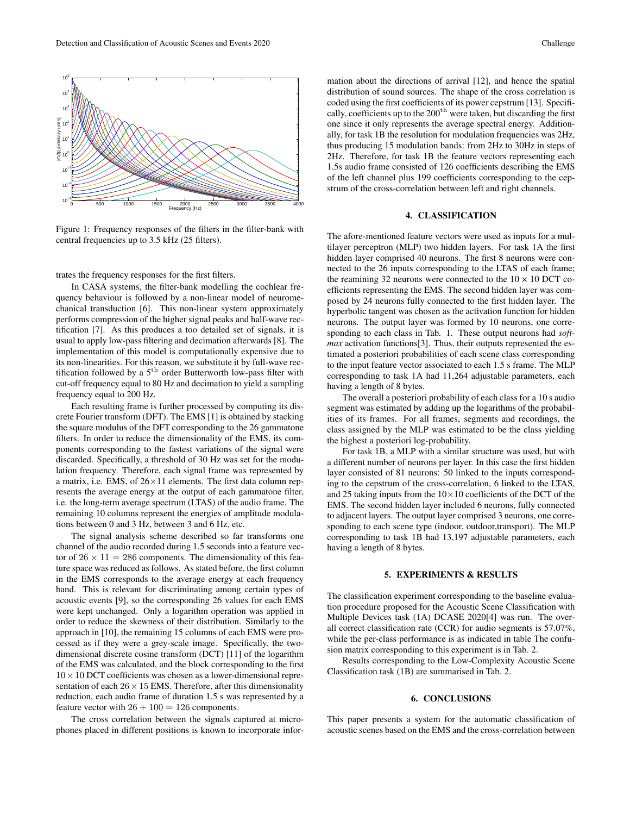

Figure 1: Frequency responses of the filters in the filter-bank with central frequencies up to 3.5 kHz (25 filters).

trates the frequency responses for the first filters.

In CASA systems, the filter-bank modelling the cochlear frequency behaviour is followed by a non-linear model of neuromechanical transduction [6]. This non-linear system approximately performs compression of the higher signal peaks and half-wave rectification [7]. As this produces a too detailed set of signals, it is usual to apply low-pass filtering and decimation afterwards [8]. The implementation of this model is computationally expensive due to its non-linearities. For this reason, we substitute it by full-wave rectification followed by a  $5<sup>th</sup>$  order Butterworth low-pass filter with cut-off frequency equal to 80 Hz and decimation to yield a sampling frequency equal to 200 Hz.

Each resulting frame is further processed by computing its discrete Fourier transform (DFT). The EMS [1] is obtained by stacking the square modulus of the DFT corresponding to the 26 gammatone filters. In order to reduce the dimensionality of the EMS, its components corresponding to the fastest variations of the signal were discarded. Specifically, a threshold of 30 Hz was set for the modulation frequency. Therefore, each signal frame was represented by a matrix, i.e. EMS, of 26×11 elements. The first data column represents the average energy at the output of each gammatone filter, i.e. the long-term average spectrum (LTAS) of the audio frame. The remaining 10 columns represent the energies of amplitude modulations between 0 and 3 Hz, between 3 and 6 Hz, etc.

The signal analysis scheme described so far transforms one channel of the audio recorded during 1.5 seconds into a feature vector of  $26 \times 11 = 286$  components. The dimensionality of this feature space was reduced as follows. As stated before, the first column in the EMS corresponds to the average energy at each frequency band. This is relevant for discriminating among certain types of acoustic events [9], so the corresponding 26 values for each EMS were kept unchanged. Only a logarithm operation was applied in order to reduce the skewness of their distribution. Similarly to the approach in [10], the remaining 15 columns of each EMS were processed as if they were a grey-scale image. Specifically, the twodimensional discrete cosine transform (DCT) [11] of the logarithm of the EMS was calculated, and the block corresponding to the first  $10 \times 10$  DCT coefficients was chosen as a lower-dimensional representation of each  $26 \times 15$  EMS. Therefore, after this dimensionality reduction, each audio frame of duration 1.5 s was represented by a feature vector with  $26 + 100 = 126$  components.

The cross correlation between the signals captured at microphones placed in different positions is known to incorporate infor-

mation about the directions of arrival [12], and hence the spatial distribution of sound sources. The shape of the cross correlation is coded using the first coefficients of its power cepstrum [13]. Specifically, coefficients up to the 200<sup>th</sup> were taken, but discarding the first one since it only represents the average spectral energy. Additionally, for task 1B the resolution for modulation frequencies was 2Hz, thus producing 15 modulation bands: from 2Hz to 30Hz in steps of 2Hz. Therefore, for task 1B the feature vectors representing each 1.5s audio frame consisted of 126 coefficients describing the EMS of the left channel plus 199 coefficients corresponding to the cepstrum of the cross-correlation between left and right channels.

# 4. CLASSIFICATION

The afore-mentioned feature vectors were used as inputs for a multilayer perceptron (MLP) two hidden layers. For task 1A the first hidden layer comprised 40 neurons. The first 8 neurons were connected to the 26 inputs corresponding to the LTAS of each frame; the reamining 32 neurons were connected to the  $10 \times 10$  DCT coefficients representing the EMS. The second hidden layer was composed by 24 neurons fully connected to the first hidden layer. The hyperbolic tangent was chosen as the activation function for hidden neurons. The output layer was formed by 10 neurons, one corresponding to each class in Tab. 1. These output neurons had *softmax* activation functions[3]. Thus, their outputs represented the estimated a posteriori probabilities of each scene class corresponding to the input feature vector associated to each 1.5 s frame. The MLP corresponding to task 1A had 11,264 adjustable parameters, each having a length of 8 bytes.

The overall a posteriori probability of each class for a 10 s audio segment was estimated by adding up the logarithms of the probabilities of its frames. For all frames, segments and recordings, the class assigned by the MLP was estimated to be the class yielding the highest a posteriori log-probability.

For task 1B, a MLP with a similar structure was used, but with a different number of neurons per layer. In this case the first hidden layer consisted of 81 neurons: 50 linked to the inputs corresponding to the cepstrum of the cross-correlation, 6 linked to the LTAS, and 25 taking inputs from the  $10\times10$  coefficients of the DCT of the EMS. The second hidden layer included 6 neurons, fully connected to adjacent layers. The output layer comprised 3 neurons, one corresponding to each scene type (indoor, outdoor,transport). The MLP corresponding to task 1B had 13,197 adjustable parameters, each having a length of 8 bytes.

#### 5. EXPERIMENTS & RESULTS

The classification experiment corresponding to the baseline evaluation procedure proposed for the Acoustic Scene Classification with Multiple Devices task (1A) DCASE 2020[4] was run. The overall correct classification rate (CCR) for audio segments is 57.07%, while the per-class performance is as indicated in table The confusion matrix corresponding to this experiment is in Tab. 2.

Results corresponding to the Low-Complexity Acoustic Scene Classification task (1B) are summarised in Tab. 2.

## 6. CONCLUSIONS

This paper presents a system for the automatic classification of acoustic scenes based on the EMS and the cross-correlation between